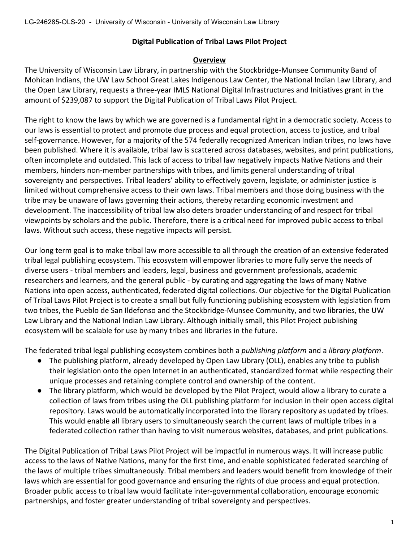# **Digital Publication of Tribal Laws Pilot Project**

## **Overview**

The University of Wisconsin Law Library, in partnership with the Stockbridge-Munsee Community Band of Mohican Indians, the UW Law School Great Lakes Indigenous Law Center, the National Indian Law Library, and the Open Law Library, requests a three-year IMLS National Digital Infrastructures and Initiatives grant in the amount of \$239,087 to support the Digital Publication of Tribal Laws Pilot Project.

The right to know the laws by which we are governed is a fundamental right in a democratic society. Access to our laws is essential to protect and promote due process and equal protection, access to justice, and tribal self-governance. However, for a majority of the 574 federally recognized American Indian tribes, no laws have been published. Where it is available, tribal law is scattered across databases, websites, and print publications, often incomplete and outdated. This lack of access to tribal law negatively impacts Native Nations and their members, hinders non-member partnerships with tribes, and limits general understanding of tribal sovereignty and perspectives. Tribal leaders' ability to effectively govern, legislate, or administer justice is limited without comprehensive access to their own laws. Tribal members and those doing business with the tribe may be unaware of laws governing their actions, thereby retarding economic investment and development. The inaccessibility of tribal law also deters broader understanding of and respect for tribal viewpoints by scholars and the public. Therefore, there is a critical need for improved public access to tribal laws. Without such access, these negative impacts will persist.

Our long term goal is to make tribal law more accessible to all through the creation of an extensive federated tribal legal publishing ecosystem. This ecosystem will empower libraries to more fully serve the needs of diverse users - tribal members and leaders, legal, business and government professionals, academic researchers and learners, and the general public - by curating and aggregating the laws of many Native Nations into open access, authenticated, federated digital collections. Our objective for the Digital Publication of Tribal Laws Pilot Project is to create a small but fully functioning publishing ecosystem with legislation from two tribes, the Pueblo de San Ildefonso and the Stockbridge-Munsee Community, and two libraries, the UW Law Library and the National Indian Law Library. Although initially small, this Pilot Project publishing ecosystem will be scalable for use by many tribes and libraries in the future.

The federated tribal legal publishing ecosystem combines both a *publishing platform* and a *library platform*.

- The publishing platform, already developed by Open Law Library (OLL), enables any tribe to publish their legislation onto the open Internet in an authenticated, standardized format while respecting their unique processes and retaining complete control and ownership of the content.
- The library platform, which would be developed by the Pilot Project, would allow a library to curate a collection of laws from tribes using the OLL publishing platform for inclusion in their open access digital repository. Laws would be automatically incorporated into the library repository as updated by tribes. This would enable all library users to simultaneously search the current laws of multiple tribes in a federated collection rather than having to visit numerous websites, databases, and print publications.

The Digital Publication of Tribal Laws Pilot Project will be impactful in numerous ways. It will increase public access to the laws of Native Nations, many for the first time, and enable sophisticated federated searching of the laws of multiple tribes simultaneously. Tribal members and leaders would benefit from knowledge of their laws which are essential for good governance and ensuring the rights of due process and equal protection. Broader public access to tribal law would facilitate inter-governmental collaboration, encourage economic partnerships, and foster greater understanding of tribal sovereignty and perspectives.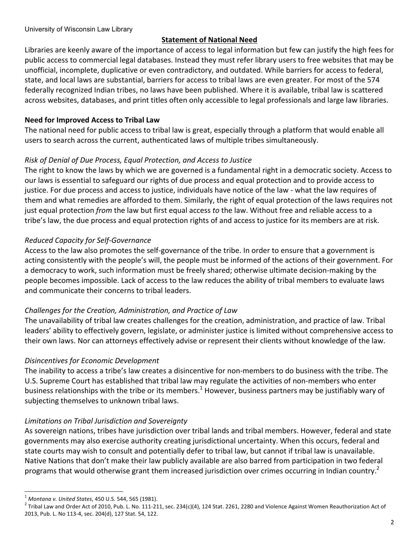## **Statement of National Need**

Libraries are keenly aware of the importance of access to legal information but few can justify the high fees for public access to commercial legal databases. Instead they must refer library users to free websites that may be unofficial, incomplete, duplicative or even contradictory, and outdated. While barriers for access to federal, state, and local laws are substantial, barriers for access to tribal laws are even greater. For most of the 574 federally recognized Indian tribes, no laws have been published. Where it is available, tribal law is scattered across websites, databases, and print titles often only accessible to legal professionals and large law libraries.

## **Need for Improved Access to Tribal Law**

The national need for public access to tribal law is great, especially through a platform that would enable all users to search across the current, authenticated laws of multiple tribes simultaneously.

## *Risk of Denial of Due Process, Equal Protection, and Access to Justice*

The right to know the laws by which we are governed is a fundamental right in a democratic society. Access to our laws is essential to safeguard our rights of due process and equal protection and to provide access to justice. For due process and access to justice, individuals have notice of the law - what the law requires of them and what remedies are afforded to them. Similarly, the right of equal protection of the laws requires not just equal protection *from* the law but first equal access to the law. Without free and reliable access to a tribe's law, the due process and equal protection rights of and access to justice for its members are at risk.

## *Reduced Capacity for Self-Governance*

Access to the law also promotes the self-governance of the tribe. In order to ensure that a government is acting consistently with the people's will, the people must be informed of the actions of their government. For a democracy to work, such information must be freely shared; otherwise ultimate decision-making by the people becomes impossible. Lack of access to the law reduces the ability of tribal members to evaluate laws and communicate their concerns to tribal leaders.

## *Challenges for the Creation, Administration, and Practice of Law*

The unavailability of tribal law creates challenges for the creation, administration, and practice of law. Tribal leaders' ability to effectively govern, legislate, or administer justice is limited without comprehensive access to their own laws. Nor can attorneys effectively advise or represent their clients without knowledge of the law.

### *Disincentives for Economic Development*

The inability to access a tribe's law creates a disincentive for non-members to do business with the tribe. The U.S. Supreme Court has established that tribal law may regulate the activities of non-members who enter business relationships with the tribe or its members.<sup>1</sup> However, business partners may be justifiably wary of subjecting themselves to unknown tribal laws.

### *Limitations on Tribal Jurisdiction and Sovereignty*

As sovereign nations, tribes have jurisdiction over tribal lands and tribal members. However, federal and state governments may also exercise authority creating jurisdictional uncertainty. When this occurs, federal and state courts may wish to consult and potentially defer to tribal law, but cannot if tribal law is unavailable. Native Nations that don't make their law publicly available are also barred from participation in two federal programs that would otherwise grant them increased jurisdiction over crimes occurring in Indian country.<sup>2</sup>

<sup>&</sup>lt;sup>1</sup> Montana v. United States, 450 U.S. 544, 565 (1981).<br><sup>2</sup> Tribal Law and Order Act of 2010, Pub. L. No. 111-211, sec. 234(c)(4), 124 Stat. 2261, 2280 and Violence Against Women Reauthorization Act of 2013, Pub. L. No 113-4, sec. 204(d), 127 Stat. 54, 122.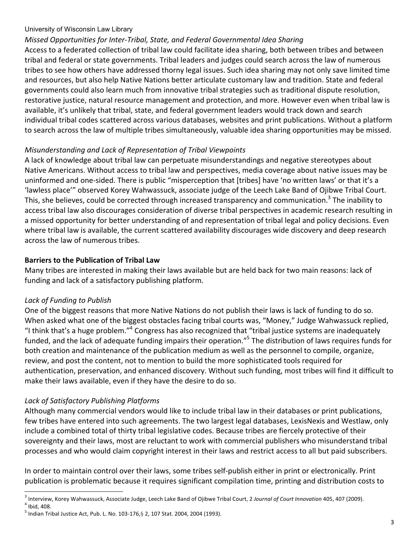# *Missed Opportunities for Inter-Tribal, State, and Federal Governmental Idea Sharing*

Access to a federated collection of tribal law could facilitate idea sharing, both between tribes and between tribal and federal or state governments. Tribal leaders and judges could search across the law of numerous tribes to see how others have addressed thorny legal issues. Such idea sharing may not only save limited time and resources, but also help Native Nations better articulate customary law and tradition. State and federal governments could also learn much from innovative tribal strategies such as traditional dispute resolution, restorative justice, natural resource management and protection, and more. However even when tribal law is available, it's unlikely that tribal, state, and federal government leaders would track down and search individual tribal codes scattered across various databases, websites and print publications. Without a platform to search across the law of multiple tribes simultaneously, valuable idea sharing opportunities may be missed.

# *Misunderstanding and Lack of Representation of Tribal Viewpoints*

A lack of knowledge about tribal law can perpetuate misunderstandings and negative stereotypes about Native Americans. Without access to tribal law and perspectives, media coverage about native issues may be uninformed and one-sided. There is public "misperception that [tribes] have 'no written laws' or that it's a 'lawless place'" observed Korey Wahwassuck, associate judge of the Leech Lake Band of Ojibwe Tribal Court. This, she believes, could be corrected through increased transparency and communication.<sup>3</sup> The inability to access tribal law also discourages consideration of diverse tribal perspectives in academic research resulting in a missed opportunity for better understanding of and representation of tribal legal and policy decisions. Even where tribal law is available, the current scattered availability discourages wide discovery and deep research across the law of numerous tribes.

# **Barriers to the Publication of Tribal Law**

Many tribes are interested in making their laws available but are held back for two main reasons: lack of funding and lack of a satisfactory publishing platform.

# *Lack of Funding to Publish*

One of the biggest reasons that more Native Nations do not publish their laws is lack of funding to do so. When asked what one of the biggest obstacles facing tribal courts was, "Money," Judge Wahwassuck replied, "I think that's a huge problem."<sup>4</sup> Congress has also recognized that "tribal justice systems are inadequately funded, and the lack of adequate funding impairs their operation."<sup>5</sup> The distribution of laws requires funds for both creation and maintenance of the publication medium as well as the personnel to compile, organize, review, and post the content, not to mention to build the more sophisticated tools required for authentication, preservation, and enhanced discovery. Without such funding, most tribes will find it difficult to make their laws available, even if they have the desire to do so.

# *Lack of Satisfactory Publishing Platforms*

Although many commercial vendors would like to include tribal law in their databases or print publications, few tribes have entered into such agreements. The two largest legal databases, LexisNexis and Westlaw, only include a combined total of thirty tribal legislative codes. Because tribes are fiercely protective of their sovereignty and their laws, most are reluctant to work with commercial publishers who misunderstand tribal processes and who would claim copyright interest in their laws and restrict access to all but paid subscribers.

In order to maintain control over their laws, some tribes self-publish either in print or electronically. Print publication is problematic because it requires significant compilation time, printing and distribution costs to

<sup>&</sup>lt;sup>3</sup> Interview, Korey Wahwassuck, Associate Judge, Leech Lake Band of Ojibwe Tribal Court, 2 Journal of Court Innovation 405, 407 (2009).<br><sup>4</sup> Ibid, 408.

 $^5$  Indian Tribal Justice Act, Pub. L. No. 103-176, § 2, 107 Stat. 2004, 2004 (1993).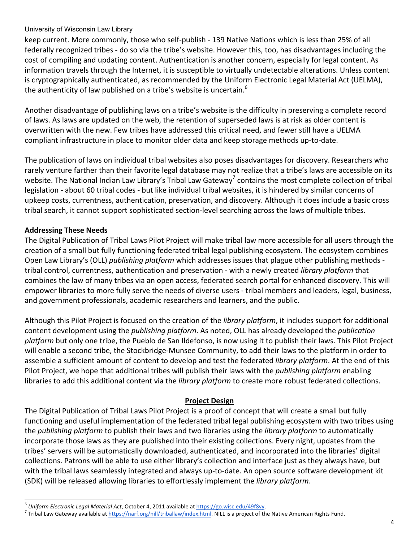keep current. More commonly, those who self-publish - 139 Native Nations which is less than 25% of all federally recognized tribes - do so via the tribe's website. However this, too, has disadvantages including the cost of compiling and updating content. Authentication is another concern, especially for legal content. As information travels through the Internet, it is susceptible to virtually undetectable alterations. Unless content is cryptographically authenticated, as recommended by the Uniform Electronic Legal Material Act (UELMA), the authenticity of law published on a tribe's website is uncertain.<sup>6</sup>

Another disadvantage of publishing laws on a tribe's website is the difficulty in preserving a complete record of laws. As laws are updated on the web, the retention of superseded laws is at risk as older content is overwritten with the new. Few tribes have addressed this critical need, and fewer still have a UELMA compliant infrastructure in place to monitor older data and keep storage methods up-to-date.

The publication of laws on individual tribal websites also poses disadvantages for discovery. Researchers who rarely venture farther than their favorite legal database may not realize that a tribe's laws are accessible on its website. The National Indian Law Library's Tribal Law Gateway<sup>7</sup> contains the most complete collection of tribal legislation - about 60 tribal codes - but like individual tribal websites, it is hindered by similar concerns of upkeep costs, currentness, authentication, preservation, and discovery. Although it does include a basic cross tribal search, it cannot support sophisticated section-level searching across the laws of multiple tribes.

# **Addressing These Needs**

The Digital Publication of Tribal Laws Pilot Project will make tribal law more accessible for all users through the creation of a small but fully functioning federated tribal legal publishing ecosystem. The ecosystem combines Open Law Library's (OLL) *publishing platform* which addresses issues that plague other publishing methods tribal control, currentness, authentication and preservation - with a newly created *library platform* that combines the law of many tribes via an open access, federated search portal for enhanced discovery. This will empower libraries to more fully serve the needs of diverse users - tribal members and leaders, legal, business, and government professionals, academic researchers and learners, and the public.

Although this Pilot Project is focused on the creation of the *library platform*, it includes support for additional content development using the *publishing platform*. As noted, OLL has already developed the *publication platform* but only one tribe, the Pueblo de San Ildefonso, is now using it to publish their laws. This Pilot Project will enable a second tribe, the Stockbridge-Munsee Community, to add their laws to the platform in order to assemble a sufficient amount of content to develop and test the federated *library platform*. At the end of this Pilot Project, we hope that additional tribes will publish their laws with the *publishing platform* enabling libraries to add this additional content via the *library platform* to create more robust federated collections.

# **Project Design**

The Digital Publication of Tribal Laws Pilot Project is a proof of concept that will create a small but fully functioning and useful implementation of the federated tribal legal publishing ecosystem with two tribes using the *publishing platform* to publish their laws and two libraries using the *library platform* to automatically incorporate those laws as they are published into their existing collections. Every night, updates from the tribes' servers will be automatically downloaded, authenticated, and incorporated into the libraries' digital collections. Patrons will be able to use either library's collection and interface just as they always have, but with the tribal laws seamlessly integrated and always up-to-date. An open source software development kit (SDK) will be released allowing libraries to effortlessly implement the *library platform*.

<sup>&</sup>lt;sup>6</sup> Uniform Electronic Legal Material Act, October 4, 2011 available at https://go.wisc.edu/49f8vy.<br><sup>7</sup> Tribal Law Gateway available at https://narf.org/nill/triballaw/index.html. NILL is a project of the Native American R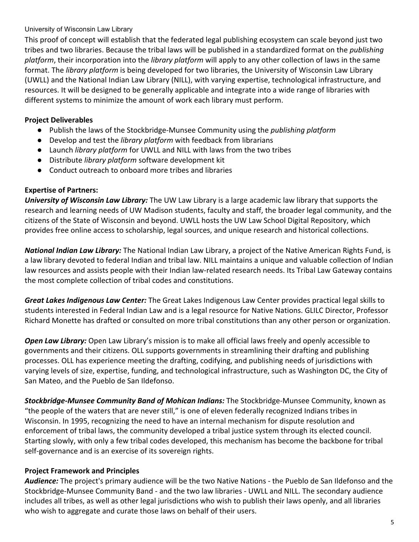This proof of concept will establish that the federated legal publishing ecosystem can scale beyond just two tribes and two libraries. Because the tribal laws will be published in a standardized format on the *publishing platform*, their incorporation into the *library platform* will apply to any other collection of laws in the same format. The *library platform* is being developed for two libraries, the University of Wisconsin Law Library (UWLL) and the National Indian Law Library (NILL), with varying expertise, technological infrastructure, and resources. It will be designed to be generally applicable and integrate into a wide range of libraries with different systems to minimize the amount of work each library must perform.

# **Project Deliverables**

- Publish the laws of the Stockbridge-Munsee Community using the *publishing platform*
- Develop and test the *library platform* with feedback from librarians
- Launch *library platform* for UWLL and NILL with laws from the two tribes
- Distribute *library platform* software development kit
- Conduct outreach to onboard more tribes and libraries

# **Expertise of Partners:**

*University of Wisconsin Law Library:* The UW Law Library is a large academic law library that supports the research and learning needs of UW Madison students, faculty and staff, the broader legal community, and the citizens of the State of Wisconsin and beyond. UWLL hosts the UW Law School Digital Repository, which provides free online access to scholarship, legal sources, and unique research and historical collections.

**National Indian Law Library:** The National Indian Law Library, a project of the Native American Rights Fund, is a law library devoted to federal Indian and tribal law. NILL maintains a unique and valuable collection of Indian law resources and assists people with their Indian law-related research needs. Its Tribal Law Gateway contains the most complete collection of tribal codes and constitutions.

Great Lakes Indigenous Law Center: The Great Lakes Indigenous Law Center provides practical legal skills to students interested in Federal Indian Law and is a legal resource for Native Nations. GLILC Director, Professor Richard Monette has drafted or consulted on more tribal constitutions than any other person or organization.

**Open Law Library:** Open Law Library's mission is to make all official laws freely and openly accessible to governments and their citizens. OLL supports governments in streamlining their drafting and publishing processes. OLL has experience meeting the drafting, codifying, and publishing needs of jurisdictions with varying levels of size, expertise, funding, and technological infrastructure, such as Washington DC, the City of San Mateo, and the Pueblo de San Ildefonso.

**Stockbridge-Munsee Community Band of Mohican Indians:** The Stockbridge-Munsee Community, known as "the people of the waters that are never still," is one of eleven federally recognized Indians tribes in Wisconsin. In 1995, recognizing the need to have an internal mechanism for dispute resolution and enforcement of tribal laws, the community developed a tribal justice system through its elected council. Starting slowly, with only a few tribal codes developed, this mechanism has become the backbone for tribal self-governance and is an exercise of its sovereign rights.

# **Project Framework and Principles**

Audience: The project's primary audience will be the two Native Nations - the Pueblo de San Ildefonso and the Stockbridge-Munsee Community Band - and the two law libraries - UWLL and NILL. The secondary audience includes all tribes, as well as other legal jurisdictions who wish to publish their laws openly, and all libraries who wish to aggregate and curate those laws on behalf of their users.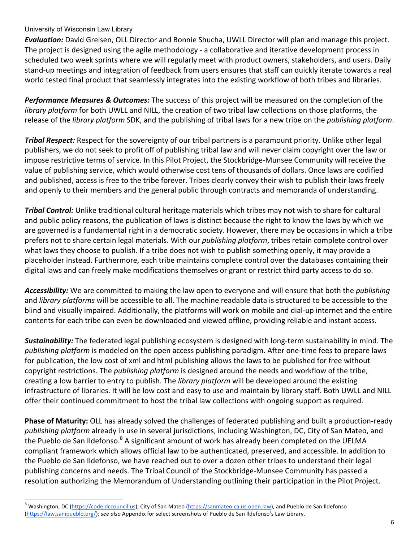**Evaluation:** David Greisen, OLL Director and Bonnie Shucha, UWLL Director will plan and manage this project. The project is designed using the agile methodology - a collaborative and iterative development process in scheduled two week sprints where we will regularly meet with product owners, stakeholders, and users. Daily stand-up meetings and integration of feedback from users ensures that staff can quickly iterate towards a real world tested final product that seamlessly integrates into the existing workflow of both tribes and libraries.

**Performance Measures & Outcomes:** The success of this project will be measured on the completion of the *library platform* for both UWLL and NILL, the creation of two tribal law collections on those platforms, the release of the *library platform* SDK, and the publishing of tribal laws for a new tribe on the *publishing platform*.

*Tribal Respect:* Respect for the sovereignty of our tribal partners is a paramount priority. Unlike other legal publishers, we do not seek to profit off of publishing tribal law and will never claim copyright over the law or impose restrictive terms of service. In this Pilot Project, the Stockbridge-Munsee Community will receive the value of publishing service, which would otherwise cost tens of thousands of dollars. Once laws are codified and published, access is free to the tribe forever. Tribes clearly convey their wish to publish their laws freely and openly to their members and the general public through contracts and memoranda of understanding.

**Tribal Control:** Unlike traditional cultural heritage materials which tribes may not wish to share for cultural and public policy reasons, the publication of laws is distinct because the right to know the laws by which we are governed is a fundamental right in a democratic society. However, there may be occasions in which a tribe prefers not to share certain legal materials. With our *publishing platform*, tribes retain complete control over what laws they choose to publish. If a tribe does not wish to publish something openly, it may provide a placeholder instead. Furthermore, each tribe maintains complete control over the databases containing their digital laws and can freely make modifications themselves or grant or restrict third party access to do so.

Accessibility: We are committed to making the law open to everyone and will ensure that both the *publishing* and *library platforms* will be accessible to all. The machine readable data is structured to be accessible to the blind and visually impaired. Additionally, the platforms will work on mobile and dial-up internet and the entire contents for each tribe can even be downloaded and viewed offline, providing reliable and instant access.

**Sustainability:** The federated legal publishing ecosystem is designed with long-term sustainability in mind. The *publishing platform* is modeled on the open access publishing paradigm. After one-time fees to prepare laws for publication, the low cost of xml and html publishing allows the laws to be published for free without copyright restrictions. The *publishing platform* is designed around the needs and workflow of the tribe, creating a low barrier to entry to publish. The *library platform* will be developed around the existing infrastructure of libraries. It will be low cost and easy to use and maintain by library staff. Both UWLL and NILL offer their continued commitment to host the tribal law collections with ongoing support as required.

**Phase of Maturity:** OLL has already solved the challenges of federated publishing and built a production-ready publishing platform already in use in several jurisdictions, including Washington, DC, City of San Mateo, and the Pueblo de San Ildefonso.<sup>8</sup> A significant amount of work has already been completed on the UELMA compliant framework which allows official law to be authenticated, preserved, and accessible. In addition to the Pueblo de San Ildefonso, we have reached out to over a dozen other tribes to understand their legal publishing concerns and needs. The Tribal Council of the Stockbridge-Munsee Community has passed a resolution authorizing the Memorandum of Understanding outlining their participation in the Pilot Project.

<sup>&</sup>lt;sup>8</sup> Washington, DC (https://code.dccouncil.us), City of San Mateo (https://sanmateo.ca.us.open.law), and Pueblo de San Ildefonso (https://law.sanipueblo.org/); see also Appendix for select screenshots of Pueblo de San Ildefonso's Law Library.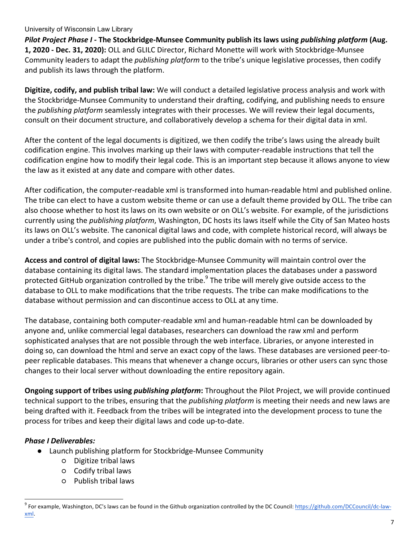*Pilot Project Phase I - The Stockbridge-Munsee Community publish its laws using publishing platform (Aug.* 1, 2020 - Dec. 31, 2020): OLL and GLILC Director, Richard Monette will work with Stockbridge-Munsee Community leaders to adapt the *publishing platform* to the tribe's unique legislative processes, then codify and publish its laws through the platform.

Digitize, codify, and publish tribal law: We will conduct a detailed legislative process analysis and work with the Stockbridge-Munsee Community to understand their drafting, codifying, and publishing needs to ensure the *publishing platform* seamlessly integrates with their processes. We will review their legal documents, consult on their document structure, and collaboratively develop a schema for their digital data in xml.

After the content of the legal documents is digitized, we then codify the tribe's laws using the already built codification engine. This involves marking up their laws with computer-readable instructions that tell the codification engine how to modify their legal code. This is an important step because it allows anyone to view the law as it existed at any date and compare with other dates.

After codification, the computer-readable xml is transformed into human-readable html and published online. The tribe can elect to have a custom website theme or can use a default theme provided by OLL. The tribe can also choose whether to host its laws on its own website or on OLL's website. For example, of the jurisdictions currently using the *publishing platform*, Washington, DC hosts its laws itself while the City of San Mateo hosts its laws on OLL's website. The canonical digital laws and code, with complete historical record, will always be under a tribe's control, and copies are published into the public domain with no terms of service.

**Access and control of digital laws:** The Stockbridge-Munsee Community will maintain control over the database containing its digital laws. The standard implementation places the databases under a password protected GitHub organization controlled by the tribe.<sup>9</sup> The tribe will merely give outside access to the database to OLL to make modifications that the tribe requests. The tribe can make modifications to the database without permission and can discontinue access to OLL at any time.

The database, containing both computer-readable xml and human-readable html can be downloaded by anyone and, unlike commercial legal databases, researchers can download the raw xml and perform sophisticated analyses that are not possible through the web interface. Libraries, or anyone interested in doing so, can download the html and serve an exact copy of the laws. These databases are versioned peer-topeer replicable databases. This means that whenever a change occurs, libraries or other users can sync those changes to their local server without downloading the entire repository again.

**Ongoing support of tribes using** *publishing platform***:** Throughout the Pilot Project, we will provide continued technical support to the tribes, ensuring that the *publishing platform* is meeting their needs and new laws are being drafted with it. Feedback from the tribes will be integrated into the development process to tune the process for tribes and keep their digital laws and code up-to-date.

## *Phase I Deliverables:*

- Launch publishing platform for Stockbridge-Munsee Community
	- Digitize tribal laws
	- Codify tribal laws
	- Publish tribal laws

 $^9$  For example, Washington, DC's laws can be found in the Github organization controlled by the DC Council: <u>https://github.com/DCCouncil/dc-law-</u> xml.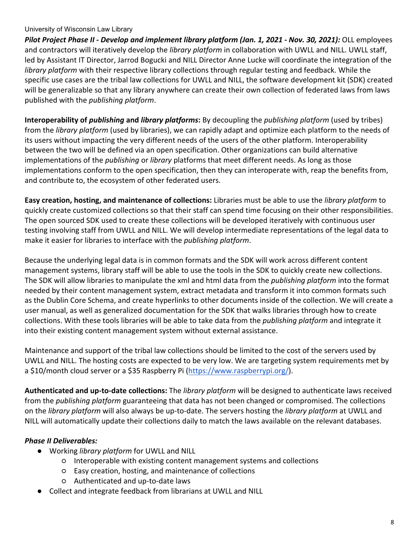*Pilot Project Phase II - Develop and implement library platform (Jan. 1, 2021 - Nov. 30, 2021):* OLL employees and contractors will iteratively develop the *library platform* in collaboration with UWLL and NILL. UWLL staff, led by Assistant IT Director, Jarrod Bogucki and NILL Director Anne Lucke will coordinate the integration of the *library platform* with their respective library collections through regular testing and feedback. While the specific use cases are the tribal law collections for UWLL and NILL, the software development kit (SDK) created will be generalizable so that any library anywhere can create their own collection of federated laws from laws published with the *publishing platform*.

**Interoperability of** *publishing* and *library platforms*: By decoupling the *publishing platform* (used by tribes) from the *library platform* (used by libraries), we can rapidly adapt and optimize each platform to the needs of its users without impacting the very different needs of the users of the other platform. Interoperability between the two will be defined via an open specification. Other organizations can build alternative implementations of the *publishing* or *library* platforms that meet different needs. As long as those implementations conform to the open specification, then they can interoperate with, reap the benefits from, and contribute to, the ecosystem of other federated users.

**Easy creation, hosting, and maintenance of collections:** Libraries must be able to use the *library platform* to quickly create customized collections so that their staff can spend time focusing on their other responsibilities. The open sourced SDK used to create these collections will be developed iteratively with continuous user testing involving staff from UWLL and NILL. We will develop intermediate representations of the legal data to make it easier for libraries to interface with the *publishing platform*.

Because the underlying legal data is in common formats and the SDK will work across different content management systems, library staff will be able to use the tools in the SDK to quickly create new collections. The SDK will allow libraries to manipulate the xml and html data from the *publishing platform* into the format needed by their content management system, extract metadata and transform it into common formats such as the Dublin Core Schema, and create hyperlinks to other documents inside of the collection. We will create a user manual, as well as generalized documentation for the SDK that walks libraries through how to create collections. With these tools libraries will be able to take data from the *publishing platform* and integrate it into their existing content management system without external assistance.

Maintenance and support of the tribal law collections should be limited to the cost of the servers used by UWLL and NILL. The hosting costs are expected to be very low. We are targeting system requirements met by a \$10/month cloud server or a \$35 Raspberry Pi [\(https://www.raspberrypi.org/\)](https://www.raspberrypi.org/).

Authenticated and up-to-date collections: The *library platform* will be designed to authenticate laws received from the *publishing platform* guaranteeing that data has not been changed or compromised. The collections on the *library platform* will also always be up-to-date. The servers hosting the *library platform* at UWLL and NILL will automatically update their collections daily to match the laws available on the relevant databases.

## *Phase II Deliverables:*

- Working *library platform* for UWLL and NILL
	- $\circ$  Interoperable with existing content management systems and collections
	- Easy creation, hosting, and maintenance of collections
		- Authenticated and up-to-date laws
- Collect and integrate feedback from librarians at UWLL and NILL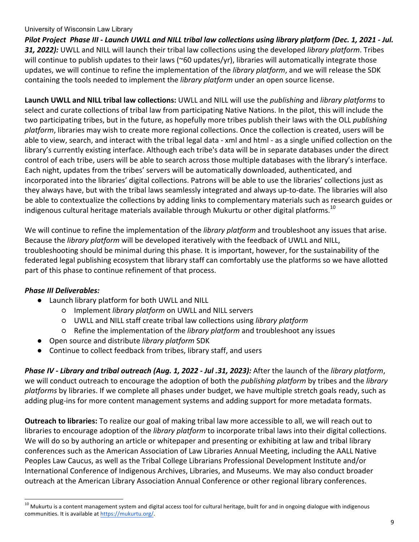Pilot Project Phase III - Launch UWLL and NILL tribal law collections using library platform (Dec. 1, 2021 - Jul. **31, 2022):** UWLL and NILL will launch their tribal law collections using the developed *library platform*. Tribes will continue to publish updates to their laws (~60 updates/yr), libraries will automatically integrate those updates, we will continue to refine the implementation of the *library platform*, and we will release the SDK containing the tools needed to implement the *library platform* under an open source license.

**Launch UWLL and NILL tribal law collections:** UWLL and NILL will use the *publishing* and *library platforms* to select and curate collections of tribal law from participating Native Nations. In the pilot, this will include the two participating tribes, but in the future, as hopefully more tribes publish their laws with the OLL *publishing platform*, libraries may wish to create more regional collections. Once the collection is created, users will be able to view, search, and interact with the tribal legal data - xml and html - as a single unified collection on the library's currently existing interface. Although each tribe's data will be in separate databases under the direct control of each tribe, users will be able to search across those multiple databases with the library's interface. Each night, updates from the tribes' servers will be automatically downloaded, authenticated, and incorporated into the libraries' digital collections. Patrons will be able to use the libraries' collections just as they always have, but with the tribal laws seamlessly integrated and always up-to-date. The libraries will also be able to contextualize the collections by adding links to complementary materials such as research guides or indigenous cultural heritage materials available through Mukurtu or other digital platforms.<sup>10</sup>

We will continue to refine the implementation of the *library platform* and troubleshoot any issues that arise. Because the *library platform* will be developed iteratively with the feedback of UWLL and NILL, troubleshooting should be minimal during this phase. It is important, however, for the sustainability of the federated legal publishing ecosystem that library staff can comfortably use the platforms so we have allotted part of this phase to continue refinement of that process.

## *Phase III Deliverables:*

- Launch library platform for both UWLL and NILL
	- Implement *library platform* on UWLL and NILL servers
	- UWLL and NILL staff create tribal law collections using *library platform*
	- $\circ$  Refine the implementation of the *library platform* and troubleshoot any issues
- Open source and distribute *library platform* SDK
- Continue to collect feedback from tribes, library staff, and users

*Phase IV - Library and tribal outreach (Aug. 1, 2022 - Jul .31, 2023):* After the launch of the *library platform*, we will conduct outreach to encourage the adoption of both the *publishing platform* by tribes and the *library platforms* by libraries. If we complete all phases under budget, we have multiple stretch goals ready, such as adding plug-ins for more content management systems and adding support for more metadata formats.

**Outreach to libraries:** To realize our goal of making tribal law more accessible to all, we will reach out to libraries to encourage adoption of the *library platform* to incorporate tribal laws into their digital collections. We will do so by authoring an article or whitepaper and presenting or exhibiting at law and tribal library conferences such as the American Association of Law Libraries Annual Meeting, including the AALL Native Peoples Law Caucus, as well as the Tribal College Librarians Professional Development Institute and/or International Conference of Indigenous Archives, Libraries, and Museums. We may also conduct broader outreach at the American Library Association Annual Conference or other regional library conferences.

 $^{10}$  Mukurtu is a content management system and digital access tool for cultural heritage, built for and in ongoing dialogue with indigenous communities. It is available at https://mukurtu.org/.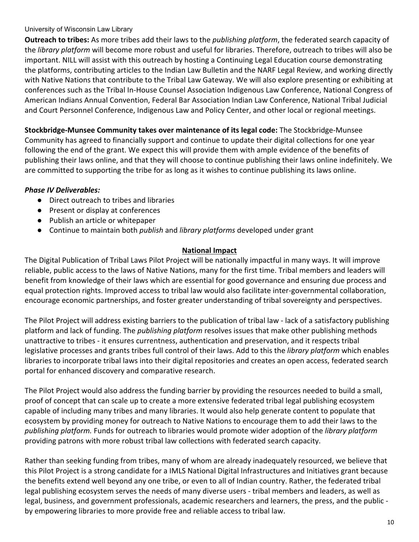**Outreach to tribes:** As more tribes add their laws to the *publishing platform*, the federated search capacity of the *library platform* will become more robust and useful for libraries. Therefore, outreach to tribes will also be important. NILL will assist with this outreach by hosting a Continuing Legal Education course demonstrating the platforms, contributing articles to the Indian Law Bulletin and the NARF Legal Review, and working directly with Native Nations that contribute to the Tribal Law Gateway. We will also explore presenting or exhibiting at conferences such as the Tribal In-House Counsel Association Indigenous Law Conference, National Congress of American Indians Annual Convention, Federal Bar Association Indian Law Conference, National Tribal Judicial and Court Personnel Conference, Indigenous Law and Policy Center, and other local or regional meetings.

**Stockbridge-Munsee Community takes over maintenance of its legal code:** The Stockbridge-Munsee Community has agreed to financially support and continue to update their digital collections for one year following the end of the grant. We expect this will provide them with ample evidence of the benefits of publishing their laws online, and that they will choose to continue publishing their laws online indefinitely. We are committed to supporting the tribe for as long as it wishes to continue publishing its laws online.

# **Phase IV Deliverables:**

- Direct outreach to tribes and libraries
- Present or display at conferences
- Publish an article or whitepaper
- Continue to maintain both *publish* and *library platforms* developed under grant

# **National Impact**

The Digital Publication of Tribal Laws Pilot Project will be nationally impactful in many ways. It will improve reliable, public access to the laws of Native Nations, many for the first time. Tribal members and leaders will benefit from knowledge of their laws which are essential for good governance and ensuring due process and equal protection rights. Improved access to tribal law would also facilitate inter-governmental collaboration, encourage economic partnerships, and foster greater understanding of tribal sovereignty and perspectives.

The Pilot Project will address existing barriers to the publication of tribal law - lack of a satisfactory publishing platform and lack of funding. The *publishing platform* resolves issues that make other publishing methods unattractive to tribes - it ensures currentness, authentication and preservation, and it respects tribal legislative processes and grants tribes full control of their laws. Add to this the *library platform* which enables libraries to incorporate tribal laws into their digital repositories and creates an open access, federated search portal for enhanced discovery and comparative research.

The Pilot Project would also address the funding barrier by providing the resources needed to build a small, proof of concept that can scale up to create a more extensive federated tribal legal publishing ecosystem capable of including many tribes and many libraries. It would also help generate content to populate that ecosystem by providing money for outreach to Native Nations to encourage them to add their laws to the *publishing platform.* Funds for outreach to libraries would promote wider adoption of the *library platform* providing patrons with more robust tribal law collections with federated search capacity.

Rather than seeking funding from tribes, many of whom are already inadequately resourced, we believe that this Pilot Project is a strong candidate for a IMLS National Digital Infrastructures and Initiatives grant because the benefits extend well beyond any one tribe, or even to all of Indian country. Rather, the federated tribal legal publishing ecosystem serves the needs of many diverse users - tribal members and leaders, as well as legal, business, and government professionals, academic researchers and learners, the press, and the public by empowering libraries to more provide free and reliable access to tribal law.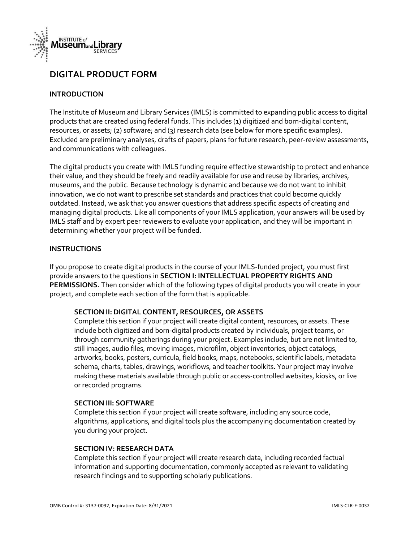

# **DIGITAL PRODUCT FORM**

#### **INTRODUCTION**

The Institute of Museum and Library Services (IMLS) is committed to expanding public access to digital products that are created using federal funds. This includes (1) digitized and born-digital content, resources, or assets; (2) software; and (3) research data (see below for more specific examples). Excluded are preliminary analyses, drafts of papers, plans for future research, peer-review assessments, and communications with colleagues.

The digital products you create with IMLS funding require effective stewardship to protect and enhance their value, and they should be freely and readily available for use and reuse by libraries, archives, museums, and the public. Because technology is dynamic and because we do not want to inhibit innovation, we do not want to prescribe set standards and practices that could become quickly outdated. Instead, we ask that you answer questions that address specific aspects of creating and managing digital products. Like all components of your IMLS application, your answers will be used by IMLS staff and by expert peer reviewers to evaluate your application, and they will be important in determining whether your project will be funded.

#### **INSTRUCTIONS**

If you propose to create digital products in the course of your IMLS-funded project, you must first provide answers to the questions in SECTION I: INTELLECTUAL PROPERTY RIGHTS AND PERMISSIONS. Then consider which of the following types of digital products you will create in your project, and complete each section of the form that is applicable.

#### SECTION II: DIGITAL CONTENT, RESOURCES, OR ASSETS

Complete this section if your project will create digital content, resources, or assets. These include both digitized and born-digital products created by individuals, project teams, or through community gatherings during your project. Examples include, but are not limited to, still images, audio files, moving images, microfilm, object inventories, object catalogs, artworks, books, posters, curricula, field books, maps, notebooks, scientific labels, metadata schema, charts, tables, drawings, workflows, and teacher toolkits. Your project may involve making these materials available through public or access-controlled websites, kiosks, or live or recorded programs.

#### **SECTION III: SOFTWARE**

Complete this section if your project will create software, including any source code, algorithms, applications, and digital tools plus the accompanying documentation created by you during your project.

#### **SECTION IV: RESEARCH DATA**

Complete this section if your project will create research data, including recorded factual information and supporting documentation, commonly accepted as relevant to validating research findings and to supporting scholarly publications.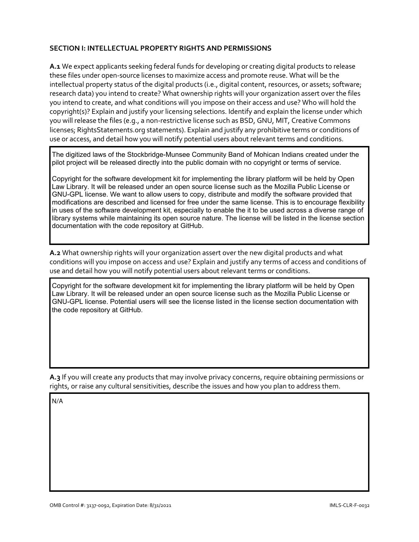### **SECTION I: INTELLECTUAL PROPERTY RIGHTS AND PERMISSIONS**

A.1 We expect applicants seeking federal funds for developing or creating digital products to release these files under open-source licenses to maximize access and promote reuse. What will be the intellectual property status of the digital products (i.e., digital content, resources, or assets; software; research data) you intend to create? What ownership rights will your organization assert over the files you intend to create, and what conditions will you impose on their access and use? Who will hold the copyright(s)? Explain and justify your licensing selections. Identify and explain the license under which you will release the files (e.g., a non-restrictive license such as BSD, GNU, MIT, Creative Commons licenses; RightsStatements.org statements). Explain and justify any prohibitive terms or conditions of use or access, and detail how you will notify potential users about relevant terms and conditions.

The digitized laws of the Stockbridge-Munsee Community Band of Mohican Indians created under the pilot project will be released directly into the public domain with no copyright or terms of service.

Copyright for the software development kit for implementing the library platform will be held by Open Law Library. It will be released under an open source license such as the Mozilla Public License or GNU-GPL license. We want to allow users to copy, distribute and modify the software provided that modifications are described and licensed for free under the same license. This is to encourage flexibility in uses of the software development kit, especially to enable the it to be used across a diverse range of library systems while maintaining its open source nature. The license will be listed in the license section documentation with the code repository at GitHub.

A.2 What ownership rights will your organization assert over the new digital products and what conditions will you impose on access and use? Explain and justify any terms of access and conditions of use and detail how you will notify potential users about relevant terms or conditions.

Copvright for the software development kit for implementing the library platform will be held by Open Law Library. It will be released under an open source license such as the Mozilla Public License or GNU-GPL license. Potential users will see the license listed in the license section documentation with the code repository at GitHub.

A.3 If you will create any products that may involve privacy concerns, require obtaining permissions or rights, or raise any cultural sensitivities, describe the issues and how you plan to address them.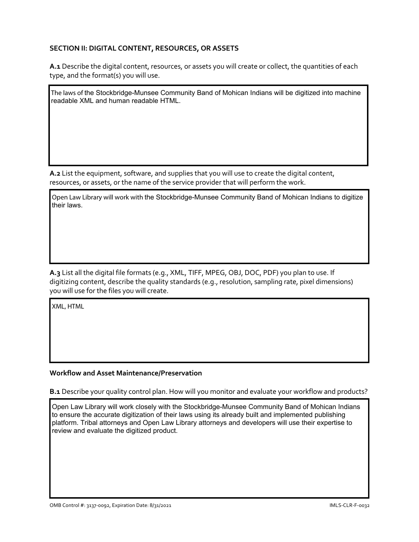### SECTION II: DIGITAL CONTENT, RESOURCES, OR ASSETS

A.1 Describe the digital content, resources, or assets you will create or collect, the quantities of each type, and the format(s) you will use.

The laws of the Stockbridge-Munsee Community Band of Mohican Indians will be digitized into machine readable XML and human readable HTML.

A.2 List the equipment, software, and supplies that you will use to create the digital content, resources, or assets, or the name of the service provider that will perform the work.

Open Law Library will work with the Stockbridge-Munsee Community Band of Mohican Indians to digitize their laws

A.3 List all the digital file formats (e.g., XML, TIFF, MPEG, OBJ, DOC, PDF) you plan to use. If digitizing content, describe the quality standards (e.g., resolution, sampling rate, pixel dimensions) you will use for the files you will create.

XML, HTML

#### **Workflow and Asset Maintenance/Preservation**

B.1 Describe your quality control plan. How will you monitor and evaluate your workflow and products?

Open Law Library will work closely with the Stockbridge-Munsee Community Band of Mohican Indians to ensure the accurate digitization of their laws using its already built and implemented publishing platform. Tribal attorneys and Open Law Library attorneys and developers will use their expertise to review and evaluate the digitized product.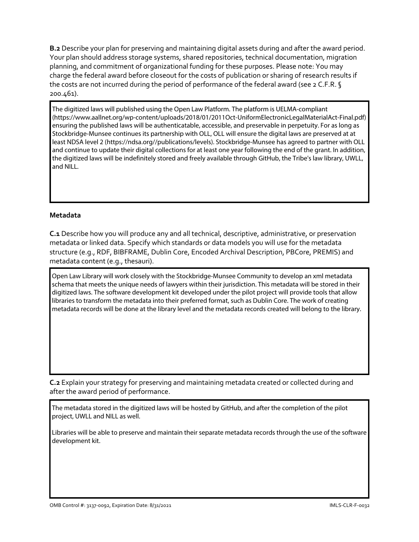**B.2** Describe your plan for preserving and maintaining digital assets during and after the award period. Your plan should address storage systems, shared repositories, technical documentation, migration planning, and commitment of organizational funding for these purposes. Please note: You may charge the federal award before closeout for the costs of publication or sharing of research results if the costs are not incurred during the period of performance of the federal award (see 2 C.F.R. § 200.461).

The digitized laws will published using the Open Law Platform. The platform is UELMA-compliant (https://www.aallnet.org/wp-content/uploads/2018/01/2011Oct-UniformElectronicLegalMaterialAct-Final.pdf) ensuring the published laws will be authenticatable, accessible, and preservable in perpetuity. For as long as Stockbridge-Munsee continues its partnership with OLL, OLL will ensure the digital laws are preserved at at least NDSA level 2 (https://ndsa.org//publications/levels). Stockbridge-Munsee has agreed to partner with OLL and continue to update their digital collections for at least one year following the end of the grant. In addition, the digitized laws will be indefinitely stored and freely available through GitHub, the Tribe's law library, UWLL, and NILL.

#### **Metadata**

C.1 Describe how you will produce any and all technical, descriptive, administrative, or preservation metadata or linked data. Specify which standards or data models you will use for the metadata structure (e.g., RDF, BIBFRAME, Dublin Core, Encoded Archival Description, PBCore, PREMIS) and metadata content (e.g., thesauri).

Open Law Library will work closely with the Stockbridge-Munsee Community to develop an xml metadata schema that meets the unique needs of lawyers within their jurisdiction. This metadata will be stored in their digitized laws. The software development kit developed under the pilot project will provide tools that allow libraries to transform the metadata into their preferred format, such as Dublin Core. The work of creating metadata records will be done at the library level and the metadata records created will belong to the library.

C.2 Explain your strategy for preserving and maintaining metadata created or collected during and after the award period of performance.

The metadata stored in the digitized laws will be hosted by GitHub, and after the completion of the pilot project, UWLL and NILL as well.

Libraries will be able to preserve and maintain their separate metadata records through the use of the software development kit.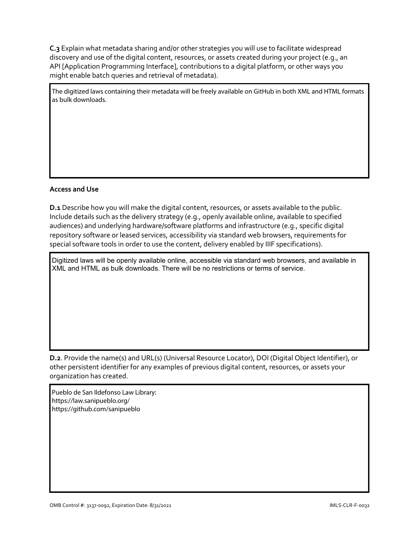C.3 Explain what metadata sharing and/or other strategies you will use to facilitate widespread discovery and use of the digital content, resources, or assets created during your project (e.g., an API [Application Programming Interface], contributions to a digital platform, or other ways you might enable batch queries and retrieval of metadata).

The digitized laws containing their metadata will be freely available on GitHub in both XML and HTML formats as bulk downloads.

#### **Access and Use**

D.1 Describe how you will make the digital content, resources, or assets available to the public. Include details such as the delivery strategy (e.g., openly available online, available to specified audiences) and underlying hardware/software platforms and infrastructure (e.g., specific digital repository software or leased services, accessibility via standard web browsers, requirements for special software tools in order to use the content, delivery enabled by IIIF specifications).

Digitized laws will be openly available online, accessible via standard web browsers, and available in XML and HTML as bulk downloads. There will be no restrictions or terms of service.

D.2. Provide the name(s) and URL(s) (Universal Resource Locator), DOI (Digital Object Identifier), or other persistent identifier for any examples of previous digital content, resources, or assets your organization has created.

Pueblo de San Ildefonso Law Library: https://law.sanipueblo.org/ https://github.com/sanipueblo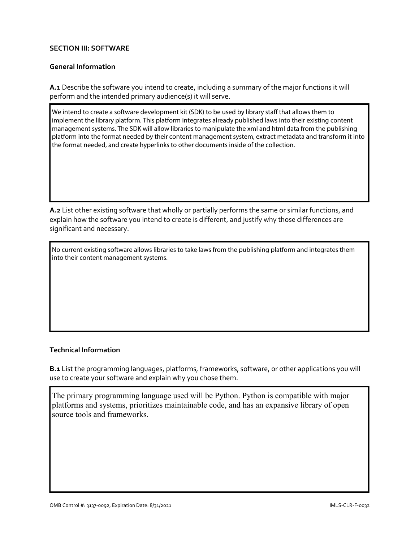#### **SECTION III: SOFTWARE**

#### **General Information**

A.1 Describe the software you intend to create, including a summary of the major functions it will perform and the intended primary audience(s) it will serve.

We intend to create a software development kit (SDK) to be used by library staff that allows them to implement the library platform. This platform integrates already published laws into their existing content management systems. The SDK will allow libraries to manipulate the xml and html data from the publishing platform into the format needed by their content management system, extract metadata and transform it into the format needed, and create hyperlinks to other documents inside of the collection.

A.2 List other existing software that wholly or partially performs the same or similar functions, and explain how the software you intend to create is different, and justify why those differences are significant and necessary.

No current existing software allows libraries to take laws from the publishing platform and integrates them into their content management systems.

#### **Technical Information**

B.1 List the programming languages, platforms, frameworks, software, or other applications you will use to create your software and explain why you chose them.

The primary programming language used will be Python. Python is compatible with major platforms and systems, prioritizes maintainable code, and has an expansive library of open source tools and frameworks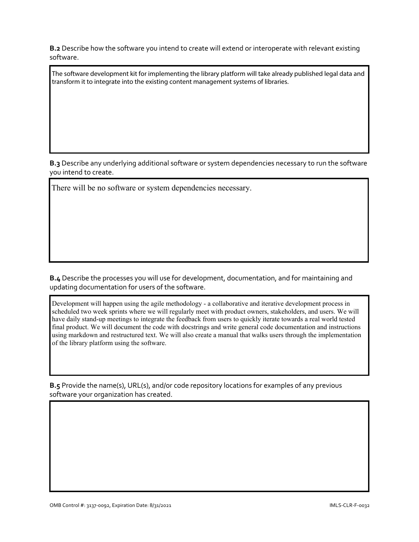**B.2** Describe how the software you intend to create will extend or interoperate with relevant existing software.

The software development kit for implementing the library platform will take already published legal data and transform it to integrate into the existing content management systems of libraries.

B.3 Describe any underlying additional software or system dependencies necessary to run the software you intend to create.

There will be no software or system dependencies necessary.

B.4 Describe the processes you will use for development, documentation, and for maintaining and updating documentation for users of the software.

Development will happen using the agile methodology - a collaborative and iterative development process in scheduled two week sprints where we will regularly meet with product owners, stakeholders, and users. We will have daily stand-up meetings to integrate the feedback from users to quickly iterate towards a real world tested final product. We will document the code with docstrings and write general code documentation and instructions using markdown and restructured text. We will also create a manual that walks users through the implementation of the library platform using the software.

B.5 Provide the name(s), URL(s), and/or code repository locations for examples of any previous software your organization has created.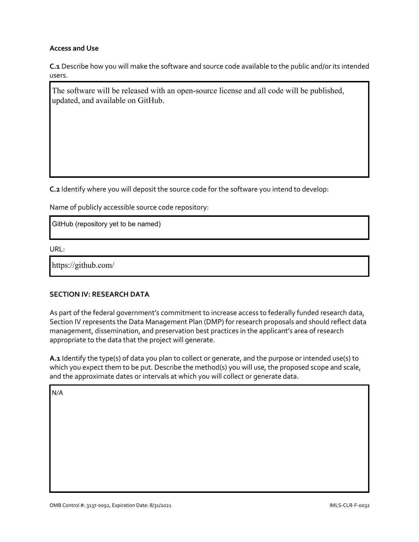#### **Access and Use**

C.1 Describe how you will make the software and source code available to the public and/or its intended users.

The software will be released with an open-source license and all code will be published, updated, and available on GitHub.

C.2 Identify where you will deposit the source code for the software you intend to develop:

Name of publicly accessible source code repository:

GitHub (repository yet to be named)

URL:

https://github.com/

#### **SECTION IV: RESEARCH DATA**

As part of the federal government's commitment to increase access to federally funded research data, Section IV represents the Data Management Plan (DMP) for research proposals and should reflect data management, dissemination, and preservation best practices in the applicant's area of research appropriate to the data that the project will generate.

A.1 Identify the type(s) of data you plan to collect or generate, and the purpose or intended use(s) to which you expect them to be put. Describe the method(s) you will use, the proposed scope and scale, and the approximate dates or intervals at which you will collect or generate data.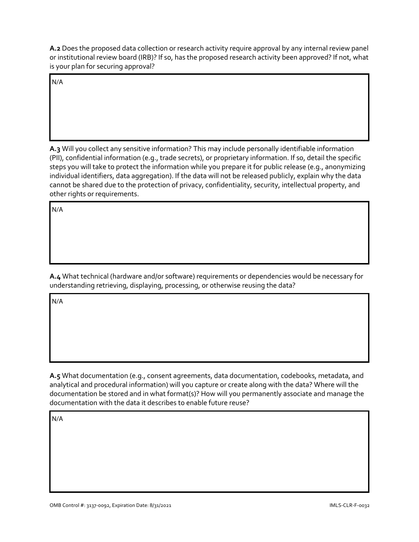A.2 Does the proposed data collection or research activity require approval by any internal review panel or institutional review board (IRB)? If so, has the proposed research activity been approved? If not, what is your plan for securing approval?

 $N/A$ 

A.3 Will you collect any sensitive information? This may include personally identifiable information (PII), confidential information (e.g., trade secrets), or proprietary information. If so, detail the specific steps you will take to protect the information while you prepare it for public release (e.g., anonymizing individual identifiers, data aggregation). If the data will not be released publicly, explain why the data cannot be shared due to the protection of privacy, confidentiality, security, intellectual property, and other rights or requirements.

 $N/A$ 

A.4 What technical (hardware and/or software) requirements or dependencies would be necessary for understanding retrieving, displaying, processing, or otherwise reusing the data?

 $N/A$ 

A.5 What documentation (e.g., consent agreements, data documentation, codebooks, metadata, and analytical and procedural information) will you capture or create along with the data? Where will the documentation be stored and in what format(s)? How will you permanently associate and manage the documentation with the data it describes to enable future reuse?